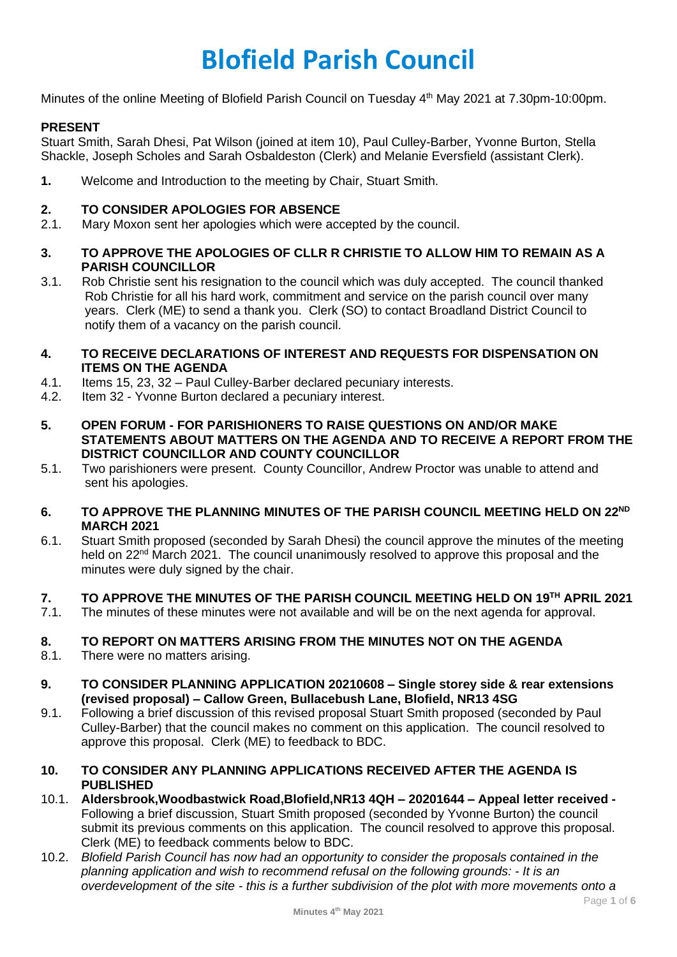# **Blofield Parish Council**

Minutes of the online Meeting of Blofield Parish Council on Tuesday 4<sup>th</sup> May 2021 at 7.30pm-10:00pm.

# **PRESENT**

Stuart Smith, Sarah Dhesi, Pat Wilson (joined at item 10), Paul Culley-Barber, Yvonne Burton, Stella Shackle, Joseph Scholes and Sarah Osbaldeston (Clerk) and Melanie Eversfield (assistant Clerk).

**1.** Welcome and Introduction to the meeting by Chair, Stuart Smith.

#### **2. TO CONSIDER APOLOGIES FOR ABSENCE**

2.1. Mary Moxon sent her apologies which were accepted by the council.

#### **3. TO APPROVE THE APOLOGIES OF CLLR R CHRISTIE TO ALLOW HIM TO REMAIN AS A PARISH COUNCILLOR**

3.1. Rob Christie sent his resignation to the council which was duly accepted. The council thanked Rob Christie for all his hard work, commitment and service on the parish council over many years. Clerk (ME) to send a thank you. Clerk (SO) to contact Broadland District Council to notify them of a vacancy on the parish council.

#### **4. TO RECEIVE DECLARATIONS OF INTEREST AND REQUESTS FOR DISPENSATION ON ITEMS ON THE AGENDA**

- 4.1. Items 15, 23, 32 Paul Culley-Barber declared pecuniary interests.
- 4.2. Item 32 Yvonne Burton declared a pecuniary interest.
- **5. OPEN FORUM - FOR PARISHIONERS TO RAISE QUESTIONS ON AND/OR MAKE STATEMENTS ABOUT MATTERS ON THE AGENDA AND TO RECEIVE A REPORT FROM THE DISTRICT COUNCILLOR AND COUNTY COUNCILLOR**
- 5.1. Two parishioners were present. County Councillor, Andrew Proctor was unable to attend and sent his apologies.

#### **6. TO APPROVE THE PLANNING MINUTES OF THE PARISH COUNCIL MEETING HELD ON 22ND MARCH 2021**

6.1. Stuart Smith proposed (seconded by Sarah Dhesi) the council approve the minutes of the meeting held on 22<sup>nd</sup> March 2021. The council unanimously resolved to approve this proposal and the minutes were duly signed by the chair.

# **7. TO APPROVE THE MINUTES OF THE PARISH COUNCIL MEETING HELD ON 19TH APRIL 2021**

7.1. The minutes of these minutes were not available and will be on the next agenda for approval.

# **8. TO REPORT ON MATTERS ARISING FROM THE MINUTES NOT ON THE AGENDA**

- 8.1. There were no matters arising.
- **9. TO CONSIDER PLANNING APPLICATION 20210608 – Single storey side & rear extensions (revised proposal) – Callow Green, Bullacebush Lane, Blofield, NR13 4SG**
- 9.1. Following a brief discussion of this revised proposal Stuart Smith proposed (seconded by Paul Culley-Barber) that the council makes no comment on this application. The council resolved to approve this proposal. Clerk (ME) to feedback to BDC.

# **10. TO CONSIDER ANY PLANNING APPLICATIONS RECEIVED AFTER THE AGENDA IS PUBLISHED**

- 10.1. **Aldersbrook,Woodbastwick Road,Blofield,NR13 4QH – 20201644 – Appeal letter received -** Following a brief discussion, Stuart Smith proposed (seconded by Yvonne Burton) the council submit its previous comments on this application. The council resolved to approve this proposal. Clerk (ME) to feedback comments below to BDC.
- 10.2. *Blofield Parish Council has now had an opportunity to consider the proposals contained in the planning application and wish to recommend refusal on the following grounds: - It is an overdevelopment of the site - this is a further subdivision of the plot with more movements onto a*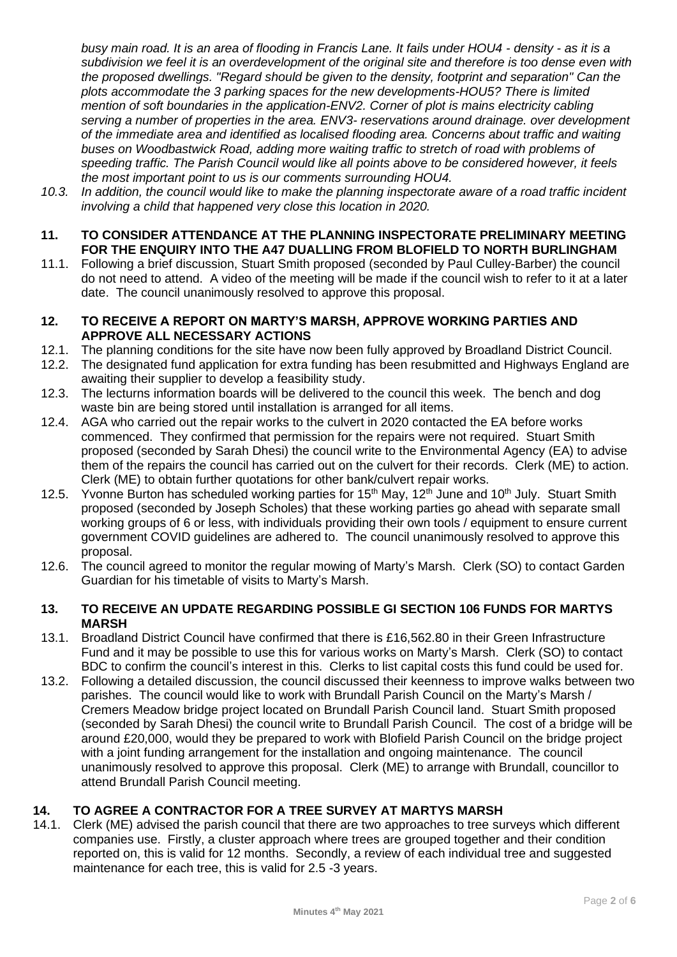*busy main road. It is an area of flooding in Francis Lane. It fails under HOU4 - density - as it is a subdivision we feel it is an overdevelopment of the original site and therefore is too dense even with the proposed dwellings. "Regard should be given to the density, footprint and separation" Can the plots accommodate the 3 parking spaces for the new developments-HOU5? There is limited mention of soft boundaries in the application-ENV2. Corner of plot is mains electricity cabling serving a number of properties in the area. ENV3- reservations around drainage. over development of the immediate area and identified as localised flooding area. Concerns about traffic and waiting buses on Woodbastwick Road, adding more waiting traffic to stretch of road with problems of speeding traffic. The Parish Council would like all points above to be considered however, it feels the most important point to us is our comments surrounding HOU4.*

- *10.3. In addition, the council would like to make the planning inspectorate aware of a road traffic incident involving a child that happened very close this location in 2020.*
- **11. TO CONSIDER ATTENDANCE AT THE PLANNING INSPECTORATE PRELIMINARY MEETING FOR THE ENQUIRY INTO THE A47 DUALLING FROM BLOFIELD TO NORTH BURLINGHAM**
- 11.1. Following a brief discussion, Stuart Smith proposed (seconded by Paul Culley-Barber) the council do not need to attend. A video of the meeting will be made if the council wish to refer to it at a later date. The council unanimously resolved to approve this proposal.

#### **12. TO RECEIVE A REPORT ON MARTY'S MARSH, APPROVE WORKING PARTIES AND APPROVE ALL NECESSARY ACTIONS**

- 12.1. The planning conditions for the site have now been fully approved by Broadland District Council.
- 12.2. The designated fund application for extra funding has been resubmitted and Highways England are awaiting their supplier to develop a feasibility study.
- 12.3. The lecturns information boards will be delivered to the council this week. The bench and dog waste bin are being stored until installation is arranged for all items.
- 12.4. AGA who carried out the repair works to the culvert in 2020 contacted the EA before works commenced. They confirmed that permission for the repairs were not required. Stuart Smith proposed (seconded by Sarah Dhesi) the council write to the Environmental Agency (EA) to advise them of the repairs the council has carried out on the culvert for their records. Clerk (ME) to action. Clerk (ME) to obtain further quotations for other bank/culvert repair works.
- 12.5. Yvonne Burton has scheduled working parties for 15<sup>th</sup> May, 12<sup>th</sup> June and 10<sup>th</sup> July. Stuart Smith proposed (seconded by Joseph Scholes) that these working parties go ahead with separate small working groups of 6 or less, with individuals providing their own tools / equipment to ensure current government COVID guidelines are adhered to. The council unanimously resolved to approve this proposal.
- 12.6. The council agreed to monitor the regular mowing of Marty's Marsh. Clerk (SO) to contact Garden Guardian for his timetable of visits to Marty's Marsh.

# **13. TO RECEIVE AN UPDATE REGARDING POSSIBLE GI SECTION 106 FUNDS FOR MARTYS MARSH**

- 13.1. Broadland District Council have confirmed that there is £16,562.80 in their Green Infrastructure Fund and it may be possible to use this for various works on Marty's Marsh. Clerk (SO) to contact BDC to confirm the council's interest in this. Clerks to list capital costs this fund could be used for.
- 13.2. Following a detailed discussion, the council discussed their keenness to improve walks between two parishes. The council would like to work with Brundall Parish Council on the Marty's Marsh / Cremers Meadow bridge project located on Brundall Parish Council land. Stuart Smith proposed (seconded by Sarah Dhesi) the council write to Brundall Parish Council. The cost of a bridge will be around £20,000, would they be prepared to work with Blofield Parish Council on the bridge project with a joint funding arrangement for the installation and ongoing maintenance. The council unanimously resolved to approve this proposal. Clerk (ME) to arrange with Brundall, councillor to attend Brundall Parish Council meeting.

# **14. TO AGREE A CONTRACTOR FOR A TREE SURVEY AT MARTYS MARSH**

14.1. Clerk (ME) advised the parish council that there are two approaches to tree surveys which different companies use. Firstly, a cluster approach where trees are grouped together and their condition reported on, this is valid for 12 months. Secondly, a review of each individual tree and suggested maintenance for each tree, this is valid for 2.5 -3 years.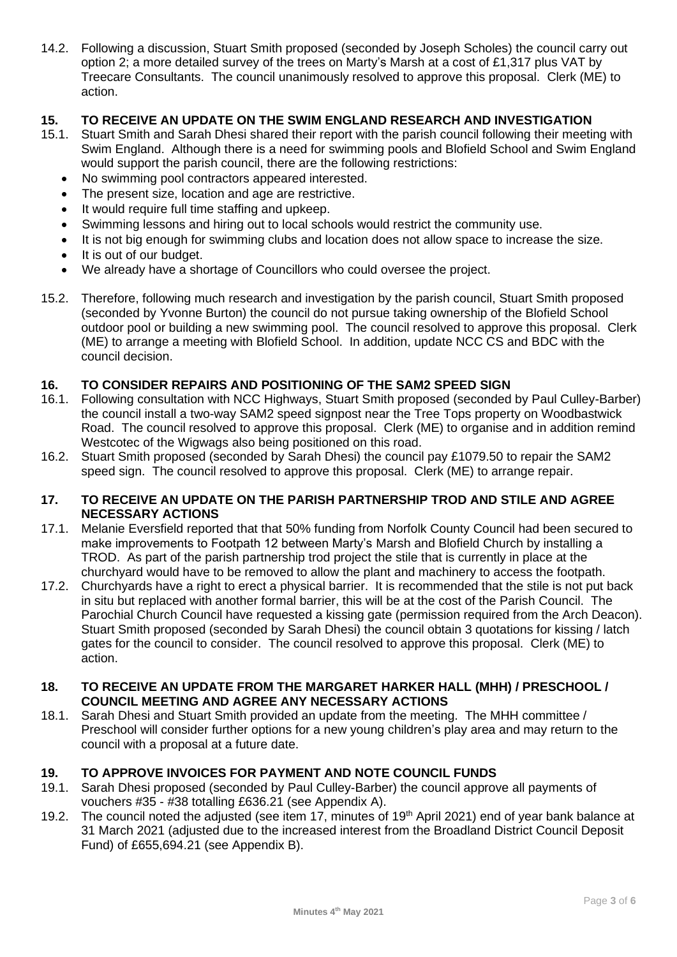14.2. Following a discussion, Stuart Smith proposed (seconded by Joseph Scholes) the council carry out option 2; a more detailed survey of the trees on Marty's Marsh at a cost of £1,317 plus VAT by Treecare Consultants. The council unanimously resolved to approve this proposal. Clerk (ME) to action.

# **15. TO RECEIVE AN UPDATE ON THE SWIM ENGLAND RESEARCH AND INVESTIGATION**

- Stuart Smith and Sarah Dhesi shared their report with the parish council following their meeting with Swim England. Although there is a need for swimming pools and Blofield School and Swim England would support the parish council, there are the following restrictions:
	- No swimming pool contractors appeared interested.
	- The present size, location and age are restrictive.
	- It would require full time staffing and upkeep.
	- Swimming lessons and hiring out to local schools would restrict the community use.
	- It is not big enough for swimming clubs and location does not allow space to increase the size.
	- It is out of our budget.
	- We already have a shortage of Councillors who could oversee the project.
- 15.2. Therefore, following much research and investigation by the parish council, Stuart Smith proposed (seconded by Yvonne Burton) the council do not pursue taking ownership of the Blofield School outdoor pool or building a new swimming pool. The council resolved to approve this proposal. Clerk (ME) to arrange a meeting with Blofield School. In addition, update NCC CS and BDC with the council decision.

# **16. TO CONSIDER REPAIRS AND POSITIONING OF THE SAM2 SPEED SIGN**

- 16.1. Following consultation with NCC Highways, Stuart Smith proposed (seconded by Paul Culley-Barber) the council install a two-way SAM2 speed signpost near the Tree Tops property on Woodbastwick Road. The council resolved to approve this proposal. Clerk (ME) to organise and in addition remind Westcotec of the Wigwags also being positioned on this road.
- 16.2. Stuart Smith proposed (seconded by Sarah Dhesi) the council pay £1079.50 to repair the SAM2 speed sign. The council resolved to approve this proposal. Clerk (ME) to arrange repair.

# **17. TO RECEIVE AN UPDATE ON THE PARISH PARTNERSHIP TROD AND STILE AND AGREE NECESSARY ACTIONS**

- 17.1. Melanie Eversfield reported that that 50% funding from Norfolk County Council had been secured to make improvements to Footpath 12 between Marty's Marsh and Blofield Church by installing a TROD. As part of the parish partnership trod project the stile that is currently in place at the churchyard would have to be removed to allow the plant and machinery to access the footpath.
- 17.2. Churchyards have a right to erect a physical barrier. It is recommended that the stile is not put back in situ but replaced with another formal barrier, this will be at the cost of the Parish Council. The Parochial Church Council have requested a kissing gate (permission required from the Arch Deacon). Stuart Smith proposed (seconded by Sarah Dhesi) the council obtain 3 quotations for kissing / latch gates for the council to consider. The council resolved to approve this proposal. Clerk (ME) to action.

#### **18. TO RECEIVE AN UPDATE FROM THE MARGARET HARKER HALL (MHH) / PRESCHOOL / COUNCIL MEETING AND AGREE ANY NECESSARY ACTIONS**

18.1. Sarah Dhesi and Stuart Smith provided an update from the meeting. The MHH committee / Preschool will consider further options for a new young children's play area and may return to the council with a proposal at a future date.

# **19. TO APPROVE INVOICES FOR PAYMENT AND NOTE COUNCIL FUNDS**

- 19.1. Sarah Dhesi proposed (seconded by Paul Culley-Barber) the council approve all payments of vouchers #35 - #38 totalling £636.21 (see Appendix A).
- 19.2. The council noted the adjusted (see item 17, minutes of 19<sup>th</sup> April 2021) end of year bank balance at 31 March 2021 (adjusted due to the increased interest from the Broadland District Council Deposit Fund) of £655,694.21 (see Appendix B).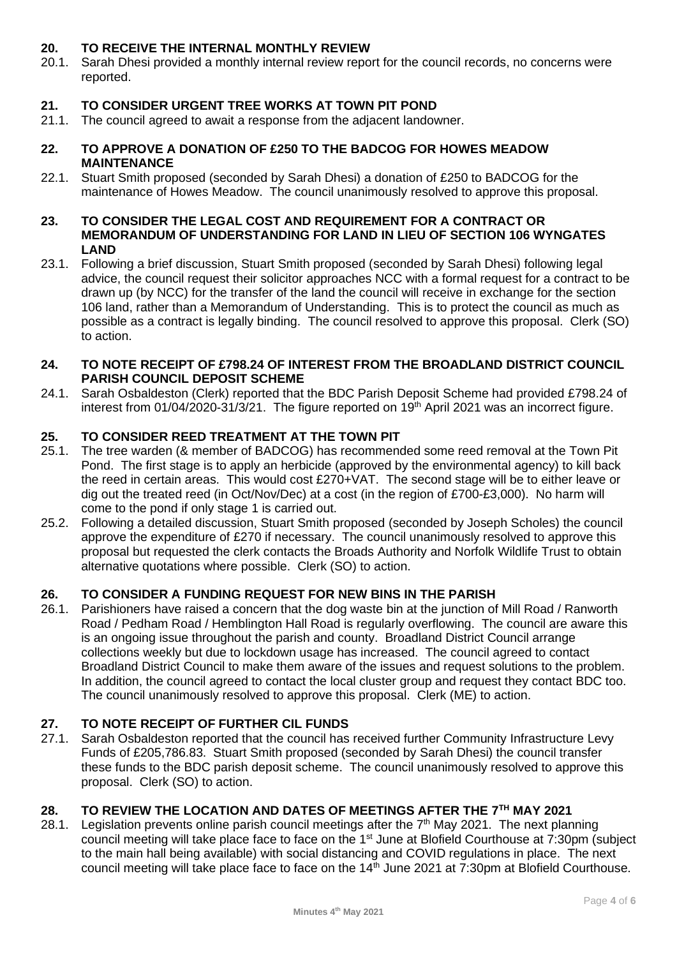# **20. TO RECEIVE THE INTERNAL MONTHLY REVIEW**

20.1. Sarah Dhesi provided a monthly internal review report for the council records, no concerns were reported.

# **21. TO CONSIDER URGENT TREE WORKS AT TOWN PIT POND**

21.1. The council agreed to await a response from the adjacent landowner.

# **22. TO APPROVE A DONATION OF £250 TO THE BADCOG FOR HOWES MEADOW MAINTENANCE**

22.1. Stuart Smith proposed (seconded by Sarah Dhesi) a donation of £250 to BADCOG for the maintenance of Howes Meadow. The council unanimously resolved to approve this proposal.

#### **23. TO CONSIDER THE LEGAL COST AND REQUIREMENT FOR A CONTRACT OR MEMORANDUM OF UNDERSTANDING FOR LAND IN LIEU OF SECTION 106 WYNGATES LAND**

23.1. Following a brief discussion, Stuart Smith proposed (seconded by Sarah Dhesi) following legal advice, the council request their solicitor approaches NCC with a formal request for a contract to be drawn up (by NCC) for the transfer of the land the council will receive in exchange for the section 106 land, rather than a Memorandum of Understanding. This is to protect the council as much as possible as a contract is legally binding. The council resolved to approve this proposal. Clerk (SO) to action.

#### **24. TO NOTE RECEIPT OF £798.24 OF INTEREST FROM THE BROADLAND DISTRICT COUNCIL PARISH COUNCIL DEPOSIT SCHEME**

24.1. Sarah Osbaldeston (Clerk) reported that the BDC Parish Deposit Scheme had provided £798.24 of interest from 01/04/2020-31/3/21. The figure reported on 19<sup>th</sup> April 2021 was an incorrect figure.

# **25. TO CONSIDER REED TREATMENT AT THE TOWN PIT**

- 25.1. The tree warden (& member of BADCOG) has recommended some reed removal at the Town Pit Pond. The first stage is to apply an herbicide (approved by the environmental agency) to kill back the reed in certain areas. This would cost £270+VAT. The second stage will be to either leave or dig out the treated reed (in Oct/Nov/Dec) at a cost (in the region of £700-£3,000). No harm will come to the pond if only stage 1 is carried out.
- 25.2. Following a detailed discussion, Stuart Smith proposed (seconded by Joseph Scholes) the council approve the expenditure of £270 if necessary. The council unanimously resolved to approve this proposal but requested the clerk contacts the Broads Authority and Norfolk Wildlife Trust to obtain alternative quotations where possible. Clerk (SO) to action.

# **26. TO CONSIDER A FUNDING REQUEST FOR NEW BINS IN THE PARISH**

26.1. Parishioners have raised a concern that the dog waste bin at the junction of Mill Road / Ranworth Road / Pedham Road / Hemblington Hall Road is regularly overflowing. The council are aware this is an ongoing issue throughout the parish and county. Broadland District Council arrange collections weekly but due to lockdown usage has increased. The council agreed to contact Broadland District Council to make them aware of the issues and request solutions to the problem. In addition, the council agreed to contact the local cluster group and request they contact BDC too. The council unanimously resolved to approve this proposal. Clerk (ME) to action.

# **27. TO NOTE RECEIPT OF FURTHER CIL FUNDS**

27.1. Sarah Osbaldeston reported that the council has received further Community Infrastructure Levy Funds of £205,786.83. Stuart Smith proposed (seconded by Sarah Dhesi) the council transfer these funds to the BDC parish deposit scheme. The council unanimously resolved to approve this proposal. Clerk (SO) to action.

# **28. TO REVIEW THE LOCATION AND DATES OF MEETINGS AFTER THE 7TH MAY 2021**

28.1. Legislation prevents online parish council meetings after the  $7<sup>th</sup>$  May 2021. The next planning council meeting will take place face to face on the  $1<sup>st</sup>$  June at Blofield Courthouse at 7:30pm (subject to the main hall being available) with social distancing and COVID regulations in place. The next council meeting will take place face to face on the 14th June 2021 at 7:30pm at Blofield Courthouse.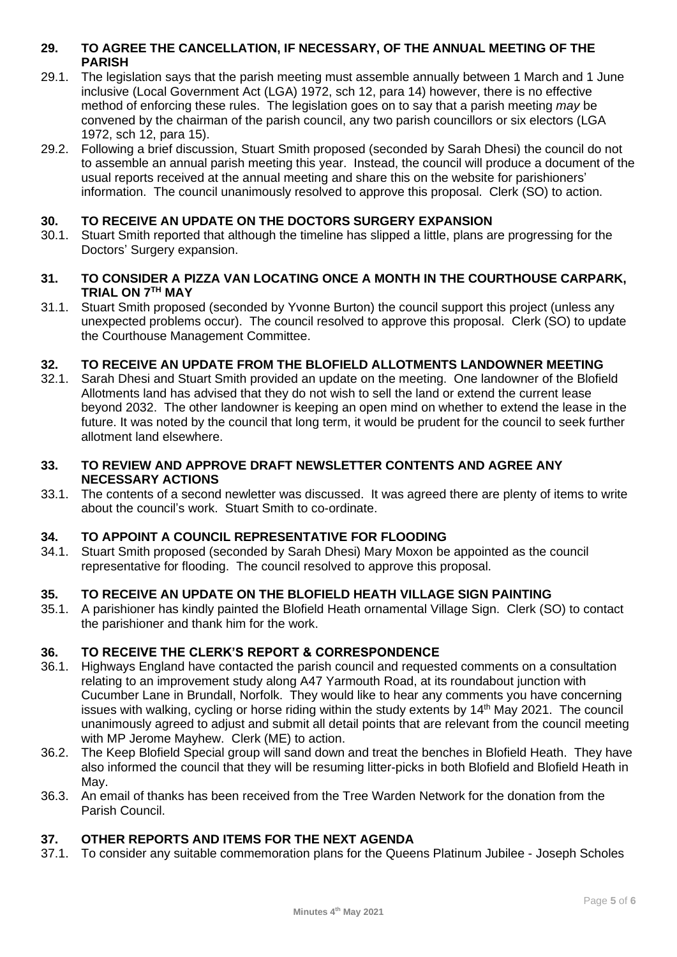# **29. TO AGREE THE CANCELLATION, IF NECESSARY, OF THE ANNUAL MEETING OF THE PARISH**

- 29.1. The legislation says that the parish meeting must assemble annually between 1 March and 1 June inclusive (Local Government Act (LGA) 1972, sch 12, para 14) however, there is no effective method of enforcing these rules. The legislation goes on to say that a parish meeting *may* be convened by the chairman of the parish council, any two parish councillors or six electors (LGA 1972, sch 12, para 15).
- 29.2. Following a brief discussion, Stuart Smith proposed (seconded by Sarah Dhesi) the council do not to assemble an annual parish meeting this year. Instead, the council will produce a document of the usual reports received at the annual meeting and share this on the website for parishioners' information. The council unanimously resolved to approve this proposal. Clerk (SO) to action.

# **30. TO RECEIVE AN UPDATE ON THE DOCTORS SURGERY EXPANSION**

30.1. Stuart Smith reported that although the timeline has slipped a little, plans are progressing for the Doctors' Surgery expansion.

#### **31. TO CONSIDER A PIZZA VAN LOCATING ONCE A MONTH IN THE COURTHOUSE CARPARK, TRIAL ON 7TH MAY**

31.1. Stuart Smith proposed (seconded by Yvonne Burton) the council support this project (unless any unexpected problems occur). The council resolved to approve this proposal. Clerk (SO) to update the Courthouse Management Committee.

# **32. TO RECEIVE AN UPDATE FROM THE BLOFIELD ALLOTMENTS LANDOWNER MEETING**

32.1. Sarah Dhesi and Stuart Smith provided an update on the meeting. One landowner of the Blofield Allotments land has advised that they do not wish to sell the land or extend the current lease beyond 2032. The other landowner is keeping an open mind on whether to extend the lease in the future. It was noted by the council that long term, it would be prudent for the council to seek further allotment land elsewhere.

# **33. TO REVIEW AND APPROVE DRAFT NEWSLETTER CONTENTS AND AGREE ANY NECESSARY ACTIONS**

33.1. The contents of a second newletter was discussed. It was agreed there are plenty of items to write about the council's work. Stuart Smith to co-ordinate.

# **34. TO APPOINT A COUNCIL REPRESENTATIVE FOR FLOODING**

34.1. Stuart Smith proposed (seconded by Sarah Dhesi) Mary Moxon be appointed as the council representative for flooding. The council resolved to approve this proposal.

# **35. TO RECEIVE AN UPDATE ON THE BLOFIELD HEATH VILLAGE SIGN PAINTING**

35.1. A parishioner has kindly painted the Blofield Heath ornamental Village Sign. Clerk (SO) to contact the parishioner and thank him for the work.

# **36. TO RECEIVE THE CLERK'S REPORT & CORRESPONDENCE**

- 36.1. Highways England have contacted the parish council and requested comments on a consultation relating to an improvement study along A47 Yarmouth Road, at its roundabout junction with Cucumber Lane in Brundall, Norfolk. They would like to hear any comments you have concerning issues with walking, cycling or horse riding within the study extents by 14<sup>th</sup> May 2021. The council unanimously agreed to adjust and submit all detail points that are relevant from the council meeting with MP Jerome Mayhew. Clerk (ME) to action.
- 36.2. The Keep Blofield Special group will sand down and treat the benches in Blofield Heath. They have also informed the council that they will be resuming litter-picks in both Blofield and Blofield Heath in May.
- 36.3. An email of thanks has been received from the Tree Warden Network for the donation from the Parish Council.

# **37. OTHER REPORTS AND ITEMS FOR THE NEXT AGENDA**

37.1. To consider any suitable commemoration plans for the Queens Platinum Jubilee - Joseph Scholes